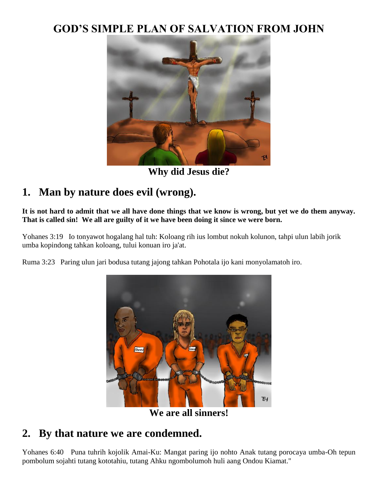### **GOD'S SIMPLE PLAN OF SALVATION FROM JOHN**



**Why did Jesus die?**

## **1. Man by nature does evil (wrong).**

**It is not hard to admit that we all have done things that we know is wrong, but yet we do them anyway. That is called sin! We all are guilty of it we have been doing it since we were born.**

Yohanes 3:19 Io tonyawot hogalang hal tuh: Koloang rih ius lombut nokuh kolunon, tahpi ulun labih jorik umba kopindong tahkan koloang, tului konuan iro ja'at.

Ruma 3:23 Paring ulun jari bodusa tutang jajong tahkan Pohotala ijo kani monyolamatoh iro.



**We are all sinners!**

#### **2. By that nature we are condemned.**

Yohanes 6:40 Puna tuhrih kojolik Amai-Ku: Mangat paring ijo nohto Anak tutang porocaya umba-Oh tepun pombolum sojahti tutang kototahiu, tutang Ahku ngombolumoh huli aang Ondou Kiamat."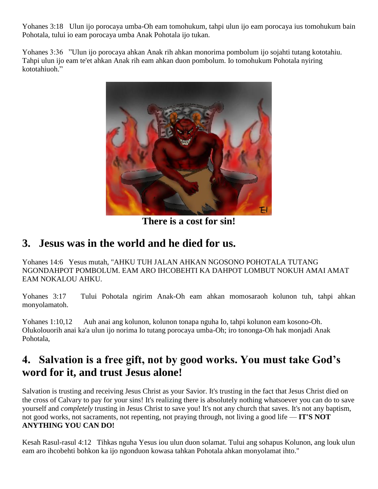Yohanes 3:18 Ulun ijo porocaya umba-Oh eam tomohukum, tahpi ulun ijo eam porocaya ius tomohukum bain Pohotala, tului io eam porocaya umba Anak Pohotala ijo tukan.

Yohanes 3:36 "Ulun ijo porocaya ahkan Anak rih ahkan monorima pombolum ijo sojahti tutang kototahiu. Tahpi ulun ijo eam te'et ahkan Anak rih eam ahkan duon pombolum. Io tomohukum Pohotala nyiring kototahiuoh."



**There is a cost for sin!**

### **3. Jesus was in the world and he died for us.**

Yohanes 14:6 Yesus mutah, "AHKU TUH JALAN AHKAN NGOSONO POHOTALA TUTANG NGONDAHPOT POMBOLUM. EAM ARO IHCOBEHTI KA DAHPOT LOMBUT NOKUH AMAI AMAT EAM NOKALOU AHKU.

Yohanes 3:17 Tului Pohotala ngirim Anak-Oh eam ahkan momosaraoh kolunon tuh, tahpi ahkan monyolamatoh.

Yohanes 1:10,12 Auh anai ang kolunon, kolunon tonapa nguha Io, tahpi kolunon eam kosono-Oh. Olukolouorih anai ka'a ulun ijo norima Io tutang porocaya umba-Oh; iro tononga-Oh hak monjadi Anak Pohotala,

### **4. Salvation is a free gift, not by good works. You must take God's word for it, and trust Jesus alone!**

Salvation is trusting and receiving Jesus Christ as your Savior. It's trusting in the fact that Jesus Christ died on the cross of Calvary to pay for your sins! It's realizing there is absolutely nothing whatsoever you can do to save yourself and *completely* trusting in Jesus Christ to save you! It's not any church that saves. It's not any baptism, not good works, not sacraments, not repenting, not praying through, not living a good life — **IT'S NOT ANYTHING YOU CAN DO!**

Kesah Rasul-rasul 4:12 Tihkas nguha Yesus iou ulun duon solamat. Tului ang sohapus Kolunon, ang louk ulun eam aro ihcobehti bohkon ka ijo ngonduon kowasa tahkan Pohotala ahkan monyolamat ihto."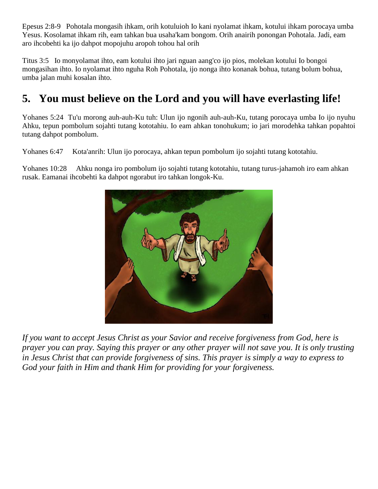Epesus 2:8-9 Pohotala mongasih ihkam, orih kotuluioh Io kani nyolamat ihkam, kotului ihkam porocaya umba Yesus. Kosolamat ihkam rih, eam tahkan bua usaha'kam bongom. Orih anairih ponongan Pohotala. Jadi, eam aro ihcobehti ka ijo dahpot mopojuhu aropoh tohou hal orih

Titus 3:5 Io monyolamat ihto, eam kotului ihto jari nguan aang'co ijo pios, molekan kotului Io bongoi mongasihan ihto. Io nyolamat ihto nguha Roh Pohotala, ijo nonga ihto konanak bohua, tutang bolum bohua, umba jalan muhi kosalan ihto.

# **5. You must believe on the Lord and you will have everlasting life!**

Yohanes 5:24 Tu'u morong auh-auh-Ku tuh: Ulun ijo ngonih auh-auh-Ku, tutang porocaya umba Io ijo nyuhu Ahku, tepun pombolum sojahti tutang kototahiu. Io eam ahkan tonohukum; io jari morodehka tahkan popahtoi tutang dahpot pombolum.

Yohanes 6:47 Kota'anrih: Ulun ijo porocaya, ahkan tepun pombolum ijo sojahti tutang kototahiu.

Yohanes 10:28 Ahku nonga iro pombolum ijo sojahti tutang kototahiu, tutang turus-jahamoh iro eam ahkan rusak. Eamanai ihcobehti ka dahpot ngorabut iro tahkan longok-Ku.



*If you want to accept Jesus Christ as your Savior and receive forgiveness from God, here is prayer you can pray. Saying this prayer or any other prayer will not save you. It is only trusting in Jesus Christ that can provide forgiveness of sins. This prayer is simply a way to express to God your faith in Him and thank Him for providing for your forgiveness.*